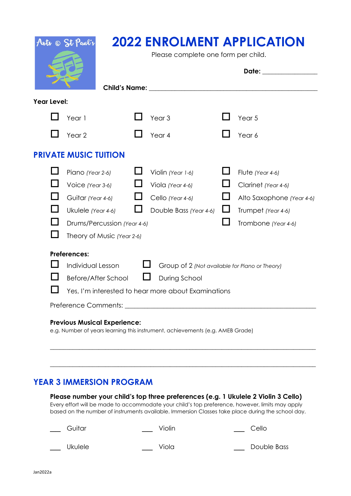| Arts @ St Pant's                                                                                                     |                                                                     | <b>2022 ENROLMENT APPLICATION</b><br>Please complete one form per child. |                                                                                                                                                                                                                                |          |                           |  |
|----------------------------------------------------------------------------------------------------------------------|---------------------------------------------------------------------|--------------------------------------------------------------------------|--------------------------------------------------------------------------------------------------------------------------------------------------------------------------------------------------------------------------------|----------|---------------------------|--|
|                                                                                                                      |                                                                     |                                                                          | Date: the contract of the contract of the contract of the contract of the contract of the contract of the contract of the contract of the contract of the contract of the contract of the contract of the contract of the cont |          |                           |  |
|                                                                                                                      |                                                                     |                                                                          | Child's Name: University of the University of the University of the University of the University of the University of the University of the University of the University of the University of the University of the University |          |                           |  |
| <b>Year Level:</b>                                                                                                   |                                                                     |                                                                          |                                                                                                                                                                                                                                |          |                           |  |
|                                                                                                                      | Year 1                                                              |                                                                          | Year <sub>3</sub>                                                                                                                                                                                                              |          | Year <sub>5</sub>         |  |
|                                                                                                                      | Year <sub>2</sub>                                                   |                                                                          | Year 4                                                                                                                                                                                                                         |          | Year 6                    |  |
|                                                                                                                      | <b>PRIVATE MUSIC TUITION</b>                                        |                                                                          |                                                                                                                                                                                                                                |          |                           |  |
|                                                                                                                      | Piano (Year 2-6)                                                    |                                                                          | Violin (Year 1-6)                                                                                                                                                                                                              |          | Flute (Year 4-6)          |  |
|                                                                                                                      | Voice (Year 3-6)                                                    |                                                                          | Viola (Year 4-6)                                                                                                                                                                                                               |          | Clarinet (Year 4-6)       |  |
|                                                                                                                      | Guitar (Year 4-6)                                                   |                                                                          | Cello (Year 4-6)                                                                                                                                                                                                               |          | Alto Saxophone (Year 4-6) |  |
|                                                                                                                      | Ukulele (Year 4-6)                                                  |                                                                          | Double Bass (Year 4-6)                                                                                                                                                                                                         | $\sqcup$ | Trumpet (Year 4-6)        |  |
|                                                                                                                      | Drums/Percussion (Year 4-6)                                         |                                                                          |                                                                                                                                                                                                                                |          | Trombone (Year 4-6)       |  |
|                                                                                                                      | Theory of Music (Year 2-6)                                          |                                                                          |                                                                                                                                                                                                                                |          |                           |  |
| <b>Preferences:</b>                                                                                                  |                                                                     |                                                                          |                                                                                                                                                                                                                                |          |                           |  |
|                                                                                                                      | Individual Lesson<br>Group of 2 (Not available for Piano or Theory) |                                                                          |                                                                                                                                                                                                                                |          |                           |  |
|                                                                                                                      | Before/After School<br>During School                                |                                                                          |                                                                                                                                                                                                                                |          |                           |  |
|                                                                                                                      | Yes, I'm interested to hear more about Examinations                 |                                                                          |                                                                                                                                                                                                                                |          |                           |  |
|                                                                                                                      |                                                                     |                                                                          |                                                                                                                                                                                                                                |          |                           |  |
| <b>Previous Musical Experience:</b><br>e.g. Number of years learning this instrument, achievements (e.g. AMEB Grade) |                                                                     |                                                                          |                                                                                                                                                                                                                                |          |                           |  |

## **YEAR 3 IMMERSION PROGRAM**

**Please number your child's top three preferences (e.g. 1 Ukulele 2 Violin 3 Cello)**  Every effort will be made to accommodate your child's top preference, however, limits may apply based on the number of instruments available. Immersion Classes take place during the school day.

\_\_\_\_\_\_\_\_\_\_\_\_\_\_\_\_\_\_\_\_\_\_\_\_\_\_\_\_\_\_\_\_\_\_\_\_\_\_\_\_\_\_\_\_\_\_\_\_\_\_\_\_\_\_\_\_\_\_\_\_\_\_\_\_\_\_\_\_\_\_\_\_\_\_\_\_\_\_\_\_\_\_

\_\_\_\_\_\_\_\_\_\_\_\_\_\_\_\_\_\_\_\_\_\_\_\_\_\_\_\_\_\_\_\_\_\_\_\_\_\_\_\_\_\_\_\_\_\_\_\_\_\_\_\_\_\_\_\_\_\_\_\_\_\_\_\_\_\_\_\_\_\_\_\_\_\_\_\_\_\_\_\_\_\_

| Guitar | Violin | Cello |
|--------|--------|-------|
|        |        |       |

|  | Ukulele |  |
|--|---------|--|
|  |         |  |

\_\_ Ukulele \_\_\_ \_\_\_ Viola \_\_\_ \_\_\_ Double Bass